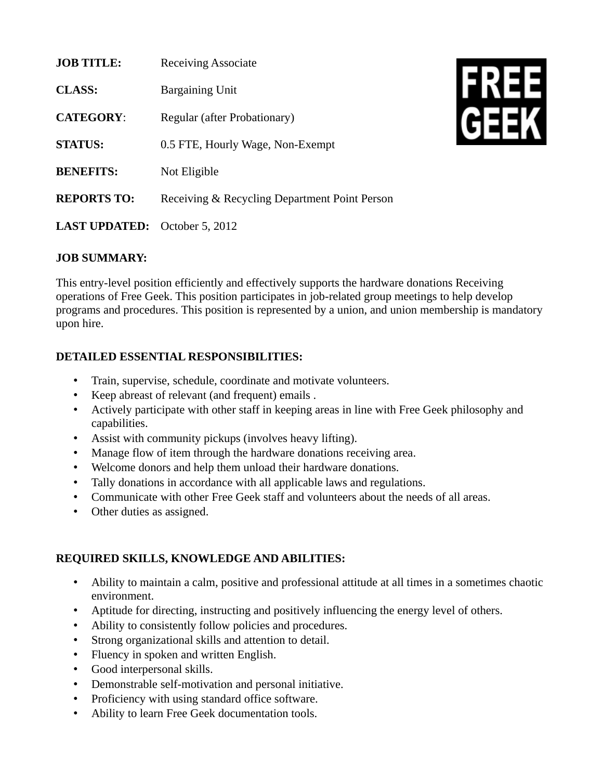| <b>JOB TITLE:</b>                    | <b>Receiving Associate</b>                    |
|--------------------------------------|-----------------------------------------------|
| <b>CLASS:</b>                        | <b>Bargaining Unit</b>                        |
| <b>CATEGORY:</b>                     | Regular (after Probationary)                  |
| <b>STATUS:</b>                       | 0.5 FTE, Hourly Wage, Non-Exempt              |
| <b>BENEFITS:</b>                     | Not Eligible                                  |
| <b>REPORTS TO:</b>                   | Receiving & Recycling Department Point Person |
| <b>LAST UPDATED:</b> October 5, 2012 |                                               |



## **JOB SUMMARY:**

This entry-level position efficiently and effectively supports the hardware donations Receiving operations of Free Geek. This position participates in job-related group meetings to help develop programs and procedures. This position is represented by a union, and union membership is mandatory upon hire.

## **DETAILED ESSENTIAL RESPONSIBILITIES:**

- Train, supervise, schedule, coordinate and motivate volunteers.
- Keep abreast of relevant (and frequent) emails .
- Actively participate with other staff in keeping areas in line with Free Geek philosophy and capabilities.
- Assist with community pickups (involves heavy lifting).
- Manage flow of item through the hardware donations receiving area.
- Welcome donors and help them unload their hardware donations.
- Tally donations in accordance with all applicable laws and regulations.
- Communicate with other Free Geek staff and volunteers about the needs of all areas.
- Other duties as assigned.

## **REQUIRED SKILLS, KNOWLEDGE AND ABILITIES:**

- Ability to maintain a calm, positive and professional attitude at all times in a sometimes chaotic environment.
- Aptitude for directing, instructing and positively influencing the energy level of others.
- Ability to consistently follow policies and procedures.
- Strong organizational skills and attention to detail.
- Fluency in spoken and written English.
- Good interpersonal skills.
- Demonstrable self-motivation and personal initiative.
- Proficiency with using standard office software.
- Ability to learn Free Geek documentation tools.